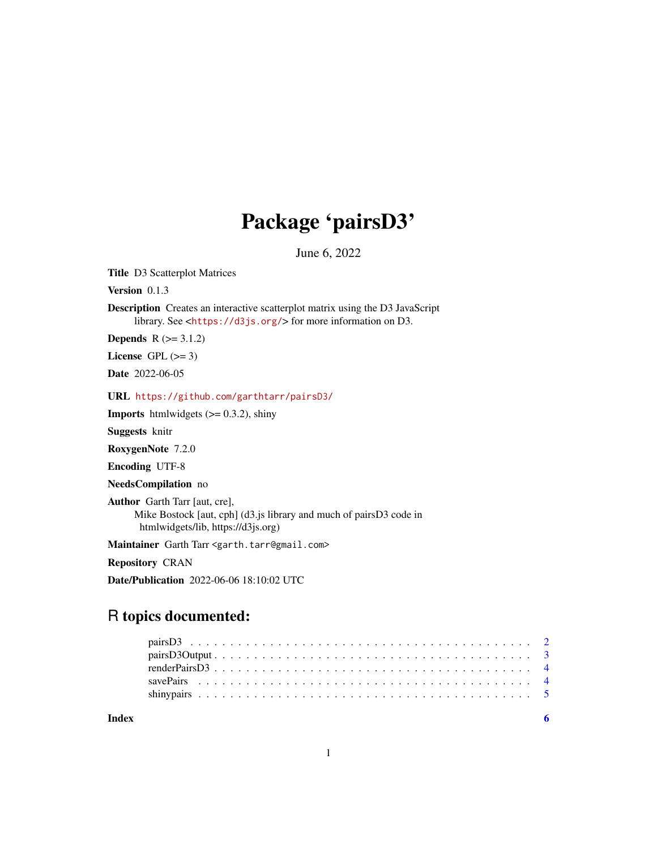# Package 'pairsD3'

June 6, 2022

Title D3 Scatterplot Matrices

Version 0.1.3

Description Creates an interactive scatterplot matrix using the D3 JavaScript library. See <<https://d3js.org/>> for more information on D3.

**Depends**  $R$  ( $>= 3.1.2$ )

License GPL  $(>= 3)$ 

Date 2022-06-05

URL <https://github.com/garthtarr/pairsD3/>

**Imports** htmlwidgets  $(>= 0.3.2)$ , shiny

Suggests knitr

RoxygenNote 7.2.0

Encoding UTF-8

NeedsCompilation no

Author Garth Tarr [aut, cre], Mike Bostock [aut, cph] (d3.js library and much of pairsD3 code in htmlwidgets/lib, https://d3js.org)

Maintainer Garth Tarr <garth.tarr@gmail.com>

Repository CRAN

Date/Publication 2022-06-06 18:10:02 UTC

# R topics documented:

| Index |  |  |  |  |  |  |  |  |  |  |  |  |  |  |  |  |  |  |
|-------|--|--|--|--|--|--|--|--|--|--|--|--|--|--|--|--|--|--|
|       |  |  |  |  |  |  |  |  |  |  |  |  |  |  |  |  |  |  |
|       |  |  |  |  |  |  |  |  |  |  |  |  |  |  |  |  |  |  |
|       |  |  |  |  |  |  |  |  |  |  |  |  |  |  |  |  |  |  |
|       |  |  |  |  |  |  |  |  |  |  |  |  |  |  |  |  |  |  |
|       |  |  |  |  |  |  |  |  |  |  |  |  |  |  |  |  |  |  |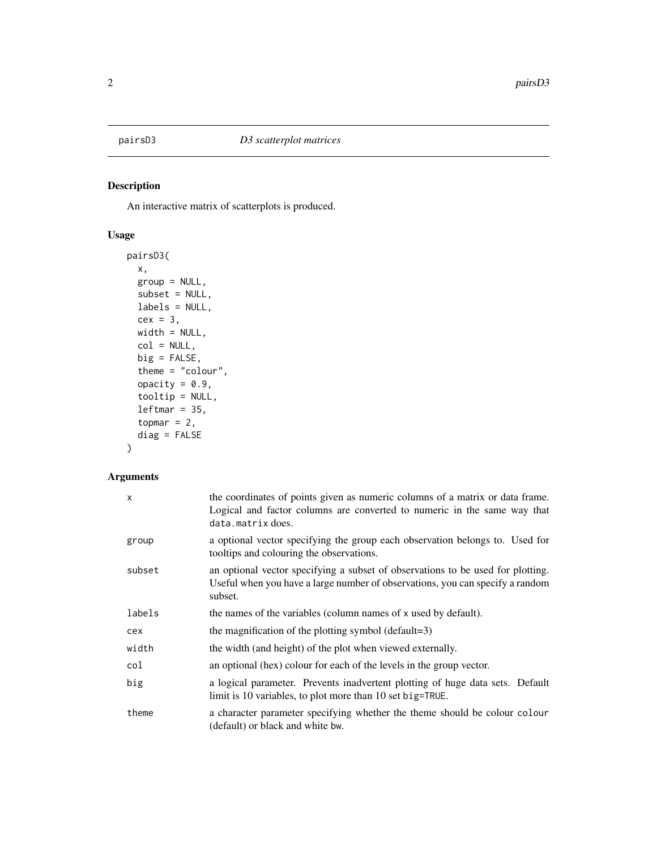<span id="page-1-0"></span>

# Description

An interactive matrix of scatterplots is produced.

#### Usage

```
pairsD3(
 x,
 group = NULL,
  subset = NULL,
 labels = NULL,
 cex = 3,
 width = NULL,
 col = NULL,big = FALSE,
  theme = "colour",
  opacity = 0.9,tooltip = NULL,
 leftmar = 35,topmar = 2,
  diag = FALSE
)
```
# Arguments

| x      | the coordinates of points given as numeric columns of a matrix or data frame.<br>Logical and factor columns are converted to numeric in the same way that<br>data.matrix does. |
|--------|--------------------------------------------------------------------------------------------------------------------------------------------------------------------------------|
| group  | a optional vector specifying the group each observation belongs to. Used for<br>tooltips and colouring the observations.                                                       |
| subset | an optional vector specifying a subset of observations to be used for plotting.<br>Useful when you have a large number of observations, you can specify a random<br>subset.    |
| labels | the names of the variables (column names of x used by default).                                                                                                                |
| cex    | the magnification of the plotting symbol (default=3)                                                                                                                           |
| width  | the width (and height) of the plot when viewed externally.                                                                                                                     |
| col    | an optional (hex) colour for each of the levels in the group vector.                                                                                                           |
| big    | a logical parameter. Prevents inadvertent plotting of huge data sets. Default<br>limit is 10 variables, to plot more than 10 set big=TRUE.                                     |
| theme  | a character parameter specifying whether the theme should be colour colour<br>(default) or black and white bw.                                                                 |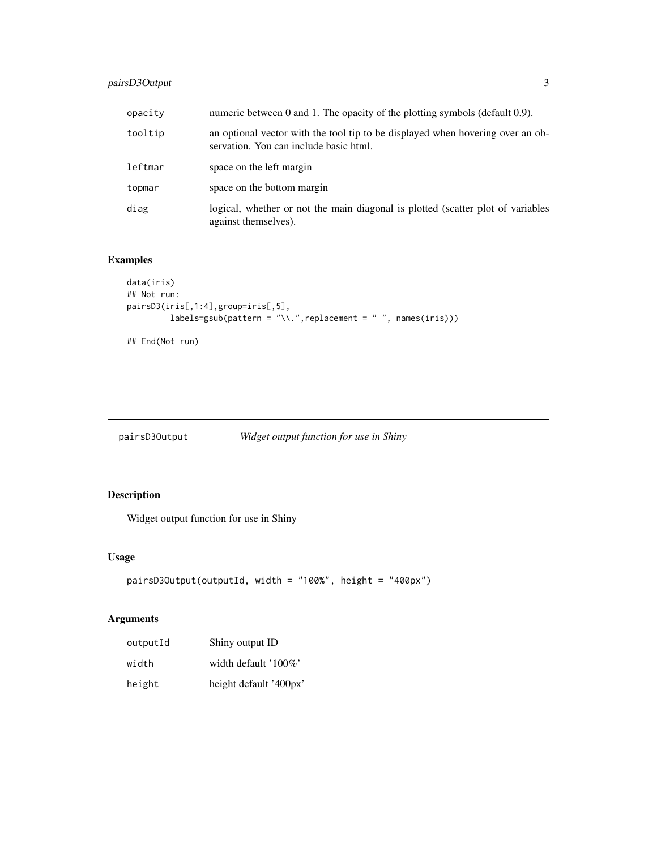# <span id="page-2-0"></span>pairsD3Output 3

| opacity | numeric between 0 and 1. The opacity of the plotting symbols (default 0.9).                                              |
|---------|--------------------------------------------------------------------------------------------------------------------------|
| tooltip | an optional vector with the tool tip to be displayed when hovering over an ob-<br>servation. You can include basic html. |
| leftmar | space on the left margin                                                                                                 |
| topmar  | space on the bottom margin                                                                                               |
| diag    | logical, whether or not the main diagonal is plotted (scatter plot of variables<br>against themselves).                  |

# Examples

```
data(iris)
## Not run:
pairsD3(iris[,1:4],group=iris[,5],
         labels=gsub(path = "\\ \n\ldots", replacement = " " , name (iris)))## End(Not run)
```
pairsD3Output *Widget output function for use in Shiny*

# Description

Widget output function for use in Shiny

#### Usage

```
pairsD3Output(outputId, width = "100%", height = "400px")
```
# Arguments

| outputId | Shiny output ID        |
|----------|------------------------|
| width    | width default $100\%$  |
| height   | height default '400px' |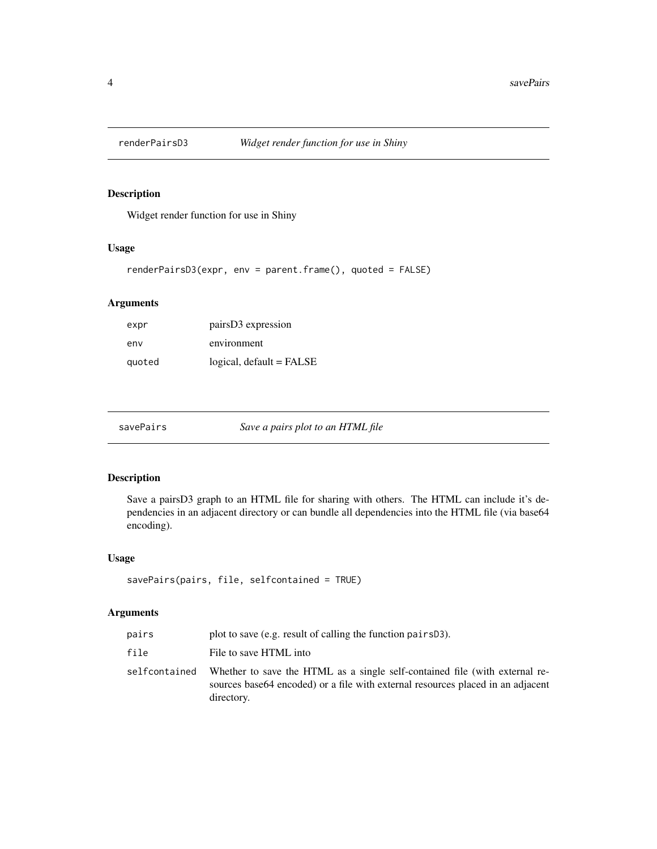<span id="page-3-0"></span>

#### Description

Widget render function for use in Shiny

#### Usage

```
renderPairsD3(expr, env = parent.frame(), quoted = FALSE)
```
#### Arguments

| expr   | pairs D3 expression      |
|--------|--------------------------|
| env    | environment              |
| quoted | logical, default = FALSE |

savePairs *Save a pairs plot to an HTML file*

#### Description

Save a pairsD3 graph to an HTML file for sharing with others. The HTML can include it's dependencies in an adjacent directory or can bundle all dependencies into the HTML file (via base64 encoding).

#### Usage

```
savePairs(pairs, file, selfcontained = TRUE)
```
#### Arguments

| pairs         | plot to save (e.g. result of calling the function pairs D3).                                                                                                                  |
|---------------|-------------------------------------------------------------------------------------------------------------------------------------------------------------------------------|
| file          | File to save HTML into                                                                                                                                                        |
| selfcontained | Whether to save the HTML as a single self-contained file (with external re-<br>sources base 64 encoded) or a file with external resources placed in an adjacent<br>directory. |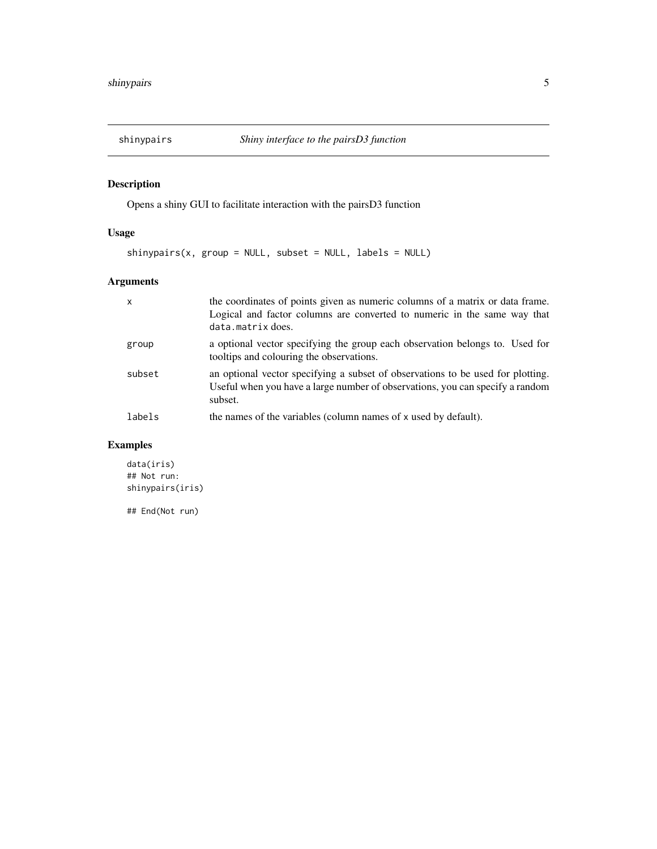<span id="page-4-0"></span>

# Description

Opens a shiny GUI to facilitate interaction with the pairsD3 function

#### Usage

 $shinypairs(x, group = NULL, subset = NULL, labels = NULL)$ 

# Arguments

| $\boldsymbol{\mathsf{x}}$ | the coordinates of points given as numeric columns of a matrix or data frame.<br>Logical and factor columns are converted to numeric in the same way that<br>data.matrix does. |
|---------------------------|--------------------------------------------------------------------------------------------------------------------------------------------------------------------------------|
| group                     | a optional vector specifying the group each observation belongs to. Used for<br>tooltips and colouring the observations.                                                       |
| subset                    | an optional vector specifying a subset of observations to be used for plotting.<br>Useful when you have a large number of observations, you can specify a random<br>subset.    |
| labels                    | the names of the variables (column names of x used by default).                                                                                                                |

#### Examples

data(iris) ## Not run: shinypairs(iris) ## End(Not run)